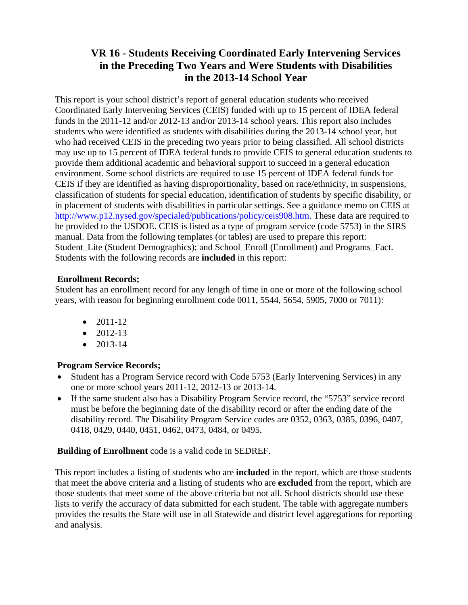# **VR 16 - Students Receiving Coordinated Early Intervening Services in the Preceding Two Years and Were Students with Disabilities in the 2013-14 School Year**

This report is your school district's report of general education students who received Coordinated Early Intervening Services (CEIS) funded with up to 15 percent of IDEA federal funds in the 2011-12 and/or 2012-13 and/or 2013-14 school years. This report also includes students who were identified as students with disabilities during the 2013-14 school year, but who had received CEIS in the preceding two years prior to being classified. All school districts may use up to 15 percent of IDEA federal funds to provide CEIS to general education students to provide them additional academic and behavioral support to succeed in a general education environment. Some school districts are required to use 15 percent of IDEA federal funds for CEIS if they are identified as having disproportionality, based on race/ethnicity, in suspensions, classification of students for special education, identification of students by specific disability, or in placement of students with disabilities in particular settings. See a guidance memo on CEIS at http://www.p12.nysed.gov/specialed/publications/policy/ceis908.htm. These data are required to be provided to the USDOE. CEIS is listed as a type of program service (code 5753) in the SIRS manual. Data from the following templates (or tables) are used to prepare this report: Student Lite (Student Demographics); and School Enroll (Enrollment) and Programs Fact. Students with the following records are **included** in this report:

### **Enrollment Records;**

Student has an enrollment record for any length of time in one or more of the following school years, with reason for beginning enrollment code 0011, 5544, 5654, 5905, 7000 or 7011):

- $\bullet$  2011-12
- $\bullet$  2012-13
- $\bullet$  2013-14

## **Program Service Records;**

- Student has a Program Service record with Code 5753 (Early Intervening Services) in any one or more school years 2011-12, 2012-13 or 2013-14.
- If the same student also has a Disability Program Service record, the "5753" service record must be before the beginning date of the disability record or after the ending date of the disability record. The Disability Program Service codes are 0352, 0363, 0385, 0396, 0407, 0418, 0429, 0440, 0451, 0462, 0473, 0484, or 0495.

### **Building of Enrollment** code is a valid code in SEDREF.

This report includes a listing of students who are **included** in the report, which are those students that meet the above criteria and a listing of students who are **excluded** from the report, which are those students that meet some of the above criteria but not all. School districts should use these lists to verify the accuracy of data submitted for each student. The table with aggregate numbers provides the results the State will use in all Statewide and district level aggregations for reporting and analysis.